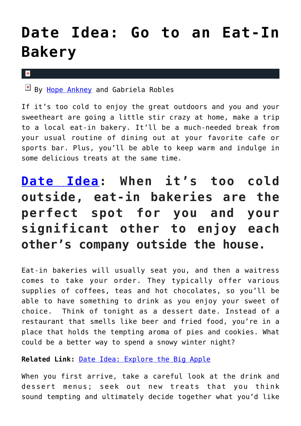# **[Date Idea: Go to an Eat-In](https://cupidspulse.com/133633/date-idea-go-to-eat-in-bakery/) [Bakery](https://cupidspulse.com/133633/date-idea-go-to-eat-in-bakery/)**

#### $\vert \mathbf{x} \vert$

 $\frac{|\mathbf{x}|}{|\mathbf{x}|}$  By [Hope Ankney](http://cupidspulse.com/132970/hope-ankney/) and Gabriela Robles

If it's too cold to enjoy the great outdoors and you and your sweetheart are going a little stir crazy at home, make a trip to a local eat-in bakery. It'll be a much-needed break from your usual routine of dining out at your favorite cafe or sports bar. Plus, you'll be able to keep warm and indulge in some delicious treats at the same time.

## **[Date Idea:](http://cupidspulse.com/love/weekend-date-ideas/) When it's too cold outside, eat-in bakeries are the perfect spot for you and your significant other to enjoy each other's company outside the house.**

Eat-in bakeries will usually seat you, and then a waitress comes to take your order. They typically offer various supplies of coffees, teas and hot chocolates, so you'll be able to have something to drink as you enjoy your sweet of choice. Think of tonight as a dessert date. Instead of a restaurant that smells like beer and fried food, you're in a place that holds the tempting aroma of pies and cookies. What could be a better way to spend a snowy winter night?

### **Related Link:** [Date Idea: Explore the Big Apple](http://cupidspulse.com/131157/date-idea-explore-big-apple/)

When you first arrive, take a careful look at the drink and dessert menus; seek out new treats that you think sound tempting and ultimately decide together what you'd like